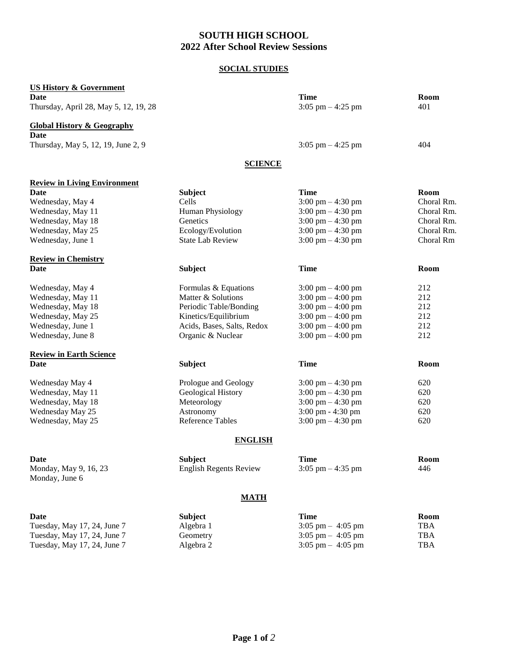# **SOUTH HIGH SCHOOL 2022 After School Review Sessions**

# **SOCIAL STUDIES**

| <b>US History &amp; Government</b>      |                               |                                     |             |
|-----------------------------------------|-------------------------------|-------------------------------------|-------------|
| <b>Date</b>                             |                               | <b>Time</b>                         | Room        |
| Thursday, April 28, May 5, 12, 19, 28   |                               | $3:05$ pm $-4:25$ pm                | 401         |
| <b>Global History &amp; Geography</b>   |                               |                                     |             |
| <b>Date</b>                             |                               |                                     |             |
| Thursday, May 5, 12, 19, June 2, 9      |                               | $3:05$ pm $-4:25$ pm                | 404         |
|                                         | <b>SCIENCE</b>                |                                     |             |
| <b>Review in Living Environment</b>     |                               |                                     |             |
| <b>Date</b>                             | <b>Subject</b>                | <b>Time</b>                         | Room        |
| Wednesday, May 4                        | Cells                         | $3:00 \text{ pm} - 4:30 \text{ pm}$ | Choral Rm.  |
| Wednesday, May 11                       | Human Physiology              | $3:00 \text{ pm} - 4:30 \text{ pm}$ | Choral Rm.  |
| Wednesday, May 18                       | Genetics                      | $3:00 \text{ pm} - 4:30 \text{ pm}$ | Choral Rm.  |
| Wednesday, May 25                       | Ecology/Evolution             | $3:00 \text{ pm} - 4:30 \text{ pm}$ | Choral Rm.  |
| Wednesday, June 1                       | <b>State Lab Review</b>       | $3:00 \text{ pm} - 4:30 \text{ pm}$ | Choral Rm   |
| <b>Review in Chemistry</b>              |                               |                                     |             |
| Date                                    | <b>Subject</b>                | <b>Time</b>                         | <b>Room</b> |
| Wednesday, May 4                        | Formulas & Equations          | $3:00 \text{ pm} - 4:00 \text{ pm}$ | 212         |
| Wednesday, May 11                       | Matter & Solutions            | 3:00 pm $-$ 4:00 pm                 | 212         |
| Wednesday, May 18                       | Periodic Table/Bonding        | $3:00 \text{ pm} - 4:00 \text{ pm}$ | 212         |
| Wednesday, May 25                       | Kinetics/Equilibrium          | 3:00 pm $-$ 4:00 pm                 | 212         |
| Wednesday, June 1                       | Acids, Bases, Salts, Redox    | 3:00 pm $-$ 4:00 pm                 | 212         |
| Wednesday, June 8                       | Organic & Nuclear             | 3:00 pm $-4:00$ pm                  | 212         |
| <b>Review in Earth Science</b>          |                               |                                     |             |
| Date                                    | <b>Subject</b>                | <b>Time</b>                         | Room        |
| Wednesday May 4                         | Prologue and Geology          | $3:00 \text{ pm} - 4:30 \text{ pm}$ | 620         |
| Wednesday, May 11                       | Geological History            | $3:00 \text{ pm} - 4:30 \text{ pm}$ | 620         |
| Wednesday, May 18                       | Meteorology                   | $3:00 \text{ pm} - 4:30 \text{ pm}$ | 620         |
| Wednesday May 25                        | Astronomy                     | 3:00 pm - 4:30 pm                   | 620         |
| Wednesday, May 25                       | <b>Reference Tables</b>       | $3:00 \text{ pm} - 4:30 \text{ pm}$ | 620         |
|                                         | <b>ENGLISH</b>                |                                     |             |
| Date                                    | <b>Subject</b>                | <b>Time</b>                         | Room        |
| Monday, May 9, 16, 23<br>Monday, June 6 | <b>English Regents Review</b> | $3:05$ pm $-4:35$ pm                | 446         |
|                                         | <b>MATH</b>                   |                                     |             |
| Date                                    | <b>Subject</b>                | <b>Time</b>                         | Room        |
| Tuesday, May 17, 24, June 7             | Algebra 1                     | $3:05$ pm $-4:05$ pm                | <b>TBA</b>  |
| Tuesday, May 17, 24, June 7             | Geometry                      | $3:05$ pm $-4:05$ pm                | <b>TBA</b>  |

| Algebra 1 | $3:05 \text{ pm} - 4:05 \text{ pm}$ | <b>TBA</b> |
|-----------|-------------------------------------|------------|
| Geometry  | $3:05 \text{ pm} - 4:05 \text{ pm}$ | <b>TBA</b> |
| Algebra 2 | $3:05 \text{ pm} - 4:05 \text{ pm}$ | <b>TBA</b> |
|           |                                     |            |